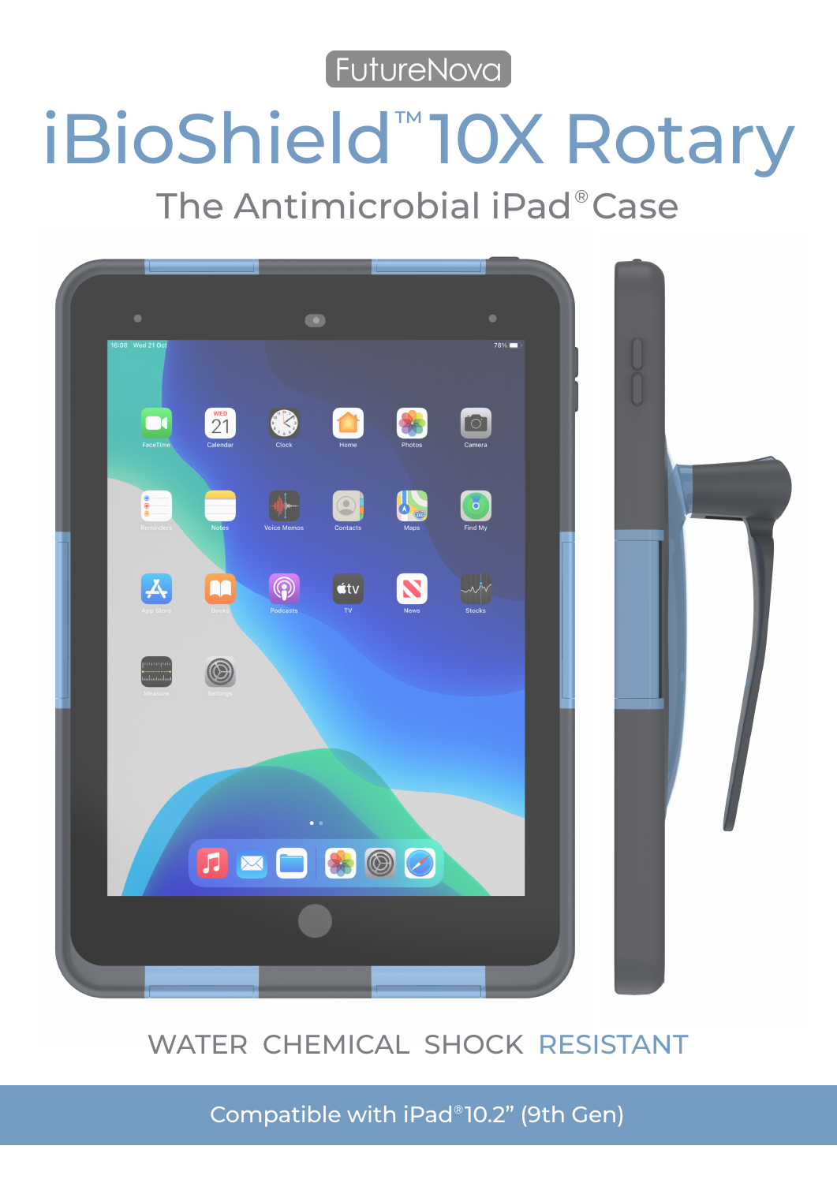[FutureNova]

# iBioShield<sup>™</sup>10X Rotary

The Antimicrobial iPad®Case



# WATER CHEMICAL SHOCK RESISTANT

Compatible with iPad®10.2" (9th Gen)